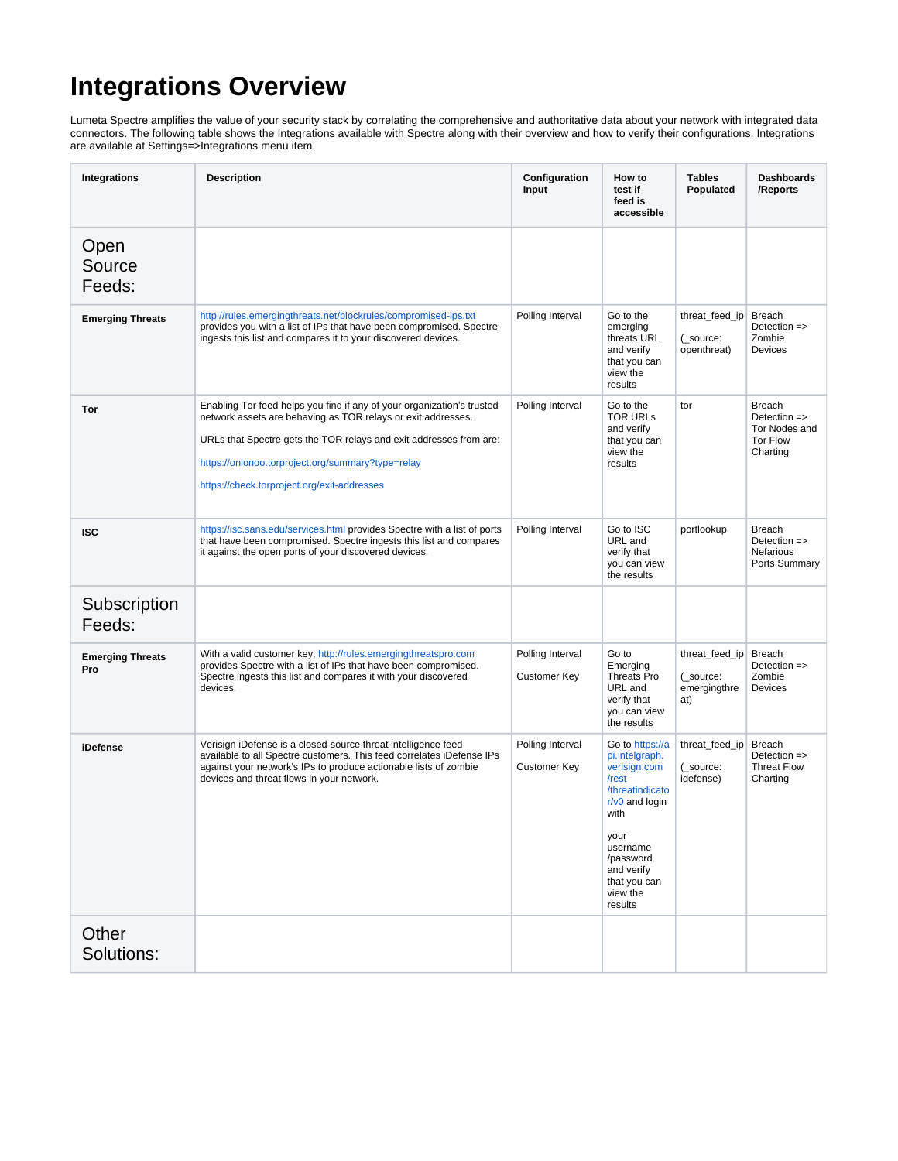# **Integrations Overview**

Lumeta Spectre amplifies the value of your security stack by correlating the comprehensive and authoritative data about your network with integrated data connectors. The following table shows the Integrations available with Spectre along with their overview and how to verify their configurations. Integrations are available at Settings=>Integrations menu item.

| <b>Integrations</b>            | <b>Description</b>                                                                                                                                                                                                                                                                                               | Configuration<br>Input                  | How to<br>test if<br>feed is<br>accessible                                                                                                                                                      | <b>Tables</b><br>Populated                         | <b>Dashboards</b><br>/Reports                                                            |
|--------------------------------|------------------------------------------------------------------------------------------------------------------------------------------------------------------------------------------------------------------------------------------------------------------------------------------------------------------|-----------------------------------------|-------------------------------------------------------------------------------------------------------------------------------------------------------------------------------------------------|----------------------------------------------------|------------------------------------------------------------------------------------------|
| Open<br>Source<br>Feeds:       |                                                                                                                                                                                                                                                                                                                  |                                         |                                                                                                                                                                                                 |                                                    |                                                                                          |
| <b>Emerging Threats</b>        | http://rules.emergingthreats.net/blockrules/compromised-ips.txt<br>Polling Interval<br>provides you with a list of IPs that have been compromised. Spectre<br>ingests this list and compares it to your discovered devices.                                                                                      |                                         | Go to the<br>emerging<br>threats URL<br>and verify<br>that you can<br>view the<br>results                                                                                                       | threat_feed_ip<br>(_source:<br>openthreat)         | <b>Breach</b><br>Detection =><br>Zombie<br>Devices                                       |
| Tor                            | Enabling Tor feed helps you find if any of your organization's trusted<br>network assets are behaving as TOR relays or exit addresses.<br>URLs that Spectre gets the TOR relays and exit addresses from are:<br>https://onionoo.torproject.org/summary?type=relay<br>https://check.torproject.org/exit-addresses | Polling Interval                        | Go to the<br><b>TOR URLS</b><br>and verify<br>that you can<br>view the<br>results                                                                                                               | tor                                                | <b>Breach</b><br>Detection $\Rightarrow$<br>Tor Nodes and<br><b>Tor Flow</b><br>Charting |
| <b>ISC</b>                     | https://isc.sans.edu/services.html provides Spectre with a list of ports<br>that have been compromised. Spectre ingests this list and compares<br>it against the open ports of your discovered devices.                                                                                                          | Polling Interval                        | Go to ISC<br>URL and<br>verify that<br>you can view<br>the results                                                                                                                              | portlookup                                         | <b>Breach</b><br>Detection =><br>Nefarious<br>Ports Summary                              |
| Subscription<br>Feeds:         |                                                                                                                                                                                                                                                                                                                  |                                         |                                                                                                                                                                                                 |                                                    |                                                                                          |
| <b>Emerging Threats</b><br>Pro | With a valid customer key, http://rules.emergingthreatspro.com<br>provides Spectre with a list of IPs that have been compromised.<br>Spectre ingests this list and compares it with your discovered<br>devices.                                                                                                  | Polling Interval<br><b>Customer Key</b> | Go to<br>Emerging<br>Threats Pro<br>URL and<br>verify that<br>you can view<br>the results                                                                                                       | threat_feed_ip<br>(_source:<br>emergingthre<br>at) | Breach<br>Detection =><br>Zombie<br>Devices                                              |
| iDefense                       | Verisign iDefense is a closed-source threat intelligence feed<br>available to all Spectre customers. This feed correlates iDefense IPs<br>against your network's IPs to produce actionable lists of zombie<br>devices and threat flows in your network.                                                          | Polling Interval<br>Customer Key        | Go to https://a<br>pi.intelgraph.<br>verisign.com<br>/rest<br>/threatindicato<br>$r/v0$ and login<br>with<br>your<br>username<br>/password<br>and verify<br>that you can<br>view the<br>results | threat feed ip<br>(_source:<br>idefense)           | Breach<br>Detection =><br><b>Threat Flow</b><br>Charting                                 |
| Other<br>Solutions:            |                                                                                                                                                                                                                                                                                                                  |                                         |                                                                                                                                                                                                 |                                                    |                                                                                          |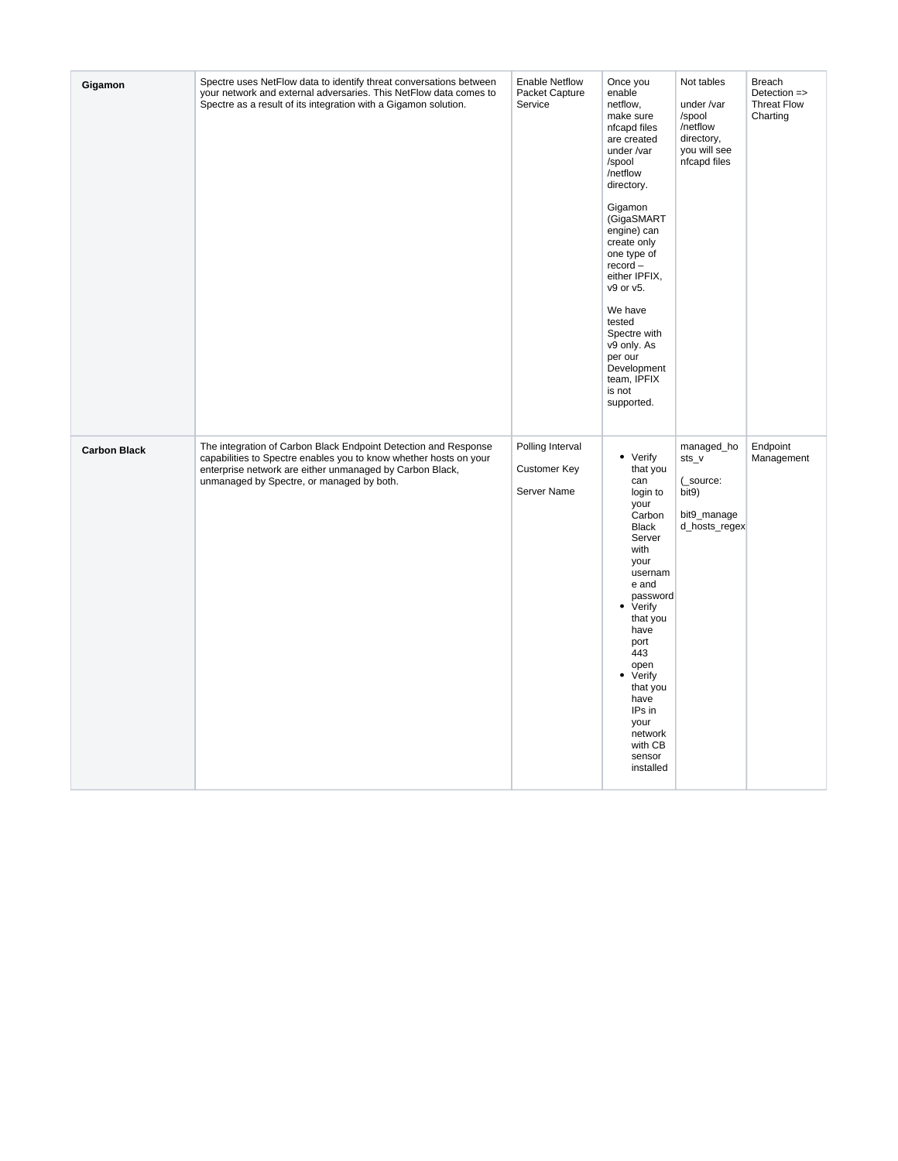| Gigamon             | Spectre uses NetFlow data to identify threat conversations between<br>your network and external adversaries. This NetFlow data comes to<br>Spectre as a result of its integration with a Gigamon solution.                                    | <b>Enable Netflow</b><br>Packet Capture<br>Service | Once you<br>enable<br>netflow,<br>make sure<br>nfcapd files<br>are created<br>under /var<br>/spool<br>/netflow<br>directory.<br>Gigamon<br>(GigaSMART<br>engine) can<br>create only<br>one type of<br>$record -$<br>either IPFIX,<br>v9 or v5.<br>We have<br>tested<br>Spectre with<br>v9 only. As<br>per our<br>Development<br>team, IPFIX<br>is not<br>supported. | Not tables<br>under /var<br>/spool<br>/netflow<br>directory,<br>you will see<br>nfcapd files | <b>Breach</b><br>Detection =><br><b>Threat Flow</b><br>Charting |
|---------------------|-----------------------------------------------------------------------------------------------------------------------------------------------------------------------------------------------------------------------------------------------|----------------------------------------------------|---------------------------------------------------------------------------------------------------------------------------------------------------------------------------------------------------------------------------------------------------------------------------------------------------------------------------------------------------------------------|----------------------------------------------------------------------------------------------|-----------------------------------------------------------------|
| <b>Carbon Black</b> | The integration of Carbon Black Endpoint Detection and Response<br>capabilities to Spectre enables you to know whether hosts on your<br>enterprise network are either unmanaged by Carbon Black,<br>unmanaged by Spectre, or managed by both. | Polling Interval<br>Customer Key<br>Server Name    | • Verify<br>that you<br>can<br>login to<br>your<br>Carbon<br><b>Black</b><br>Server<br>with<br>your<br>usernam<br>e and<br>password<br>• Verify<br>that you<br>have<br>port<br>443<br>open<br>• Verify<br>that you<br>have<br>IPs in<br>your<br>network<br>with CB<br>sensor<br>installed                                                                           | managed_ho<br>$sts_v$<br>(_source:<br>bit9)<br>bit9_manage<br>d_hosts_regex                  | Endpoint<br>Management                                          |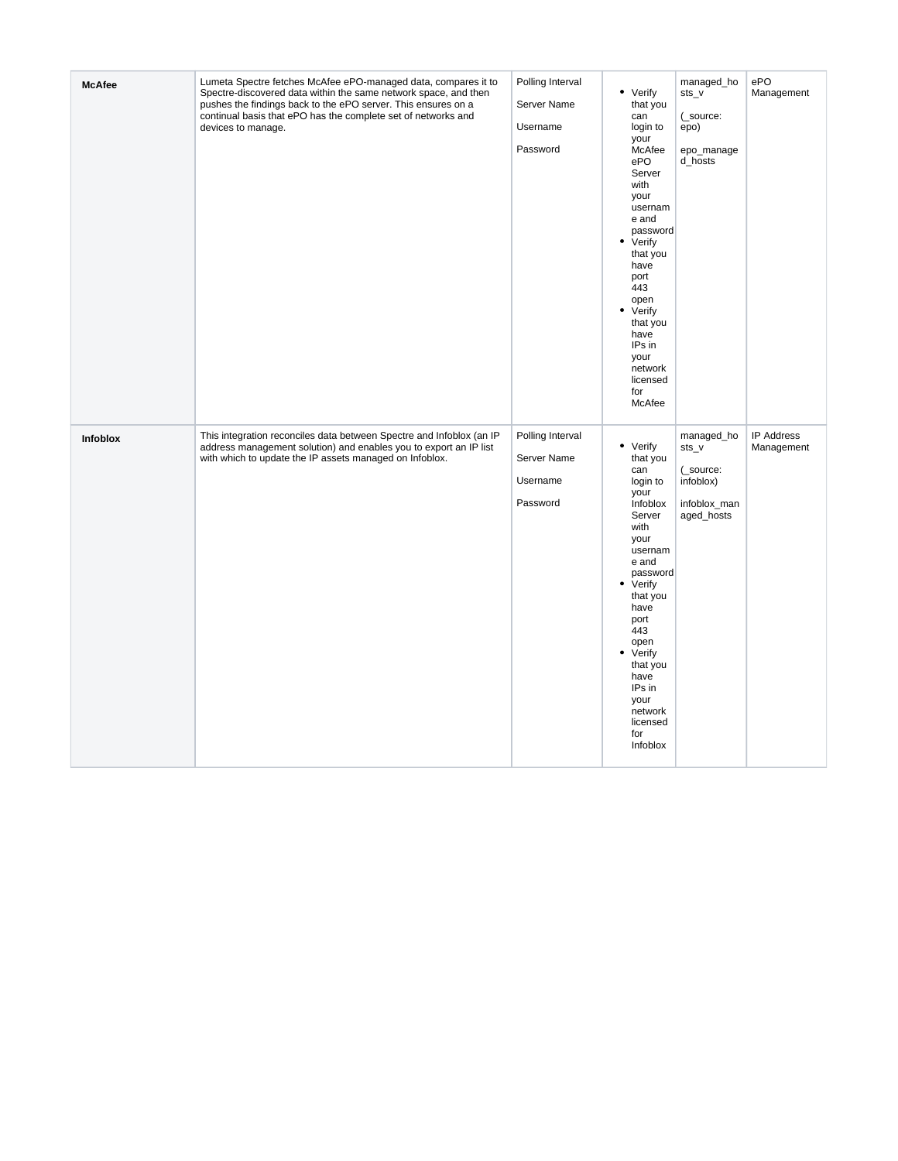| <b>McAfee</b> | Lumeta Spectre fetches McAfee ePO-managed data, compares it to<br>Spectre-discovered data within the same network space, and then<br>pushes the findings back to the ePO server. This ensures on a<br>continual basis that ePO has the complete set of networks and<br>devices to manage. | Polling Interval<br>Server Name<br>Username<br>Password | • Verify<br>that you<br>can<br>login to<br>your<br>McAfee<br>ePO<br>Server<br>with<br>your<br>usernam<br>e and<br>password<br>• Verify<br>that you<br>have<br>port<br>443<br>open<br>• Verify<br>that you<br>have<br>IPs in<br>your<br>network<br>licensed<br>for<br>McAfee | managed_ho<br>sts_v<br>(_source:<br>epo)<br>epo_manage<br>d_hosts           | ePO<br>Management               |
|---------------|-------------------------------------------------------------------------------------------------------------------------------------------------------------------------------------------------------------------------------------------------------------------------------------------|---------------------------------------------------------|-----------------------------------------------------------------------------------------------------------------------------------------------------------------------------------------------------------------------------------------------------------------------------|-----------------------------------------------------------------------------|---------------------------------|
| Infoblox      | This integration reconciles data between Spectre and Infoblox (an IP<br>address management solution) and enables you to export an IP list<br>with which to update the IP assets managed on Infoblox.                                                                                      | Polling Interval<br>Server Name<br>Username<br>Password | • Verify<br>that you<br>can<br>login to<br>your<br>Infoblox<br>Server<br>with<br>your<br>usernam<br>e and<br>password<br>• Verify<br>that you<br>have<br>port<br>443<br>open<br>• Verify<br>that you<br>have<br>IPs in<br>your<br>network<br>licensed<br>for<br>Infoblox    | managed_ho<br>sts_v<br>(_source:<br>infoblox)<br>infoblox_man<br>aged_hosts | <b>IP Address</b><br>Management |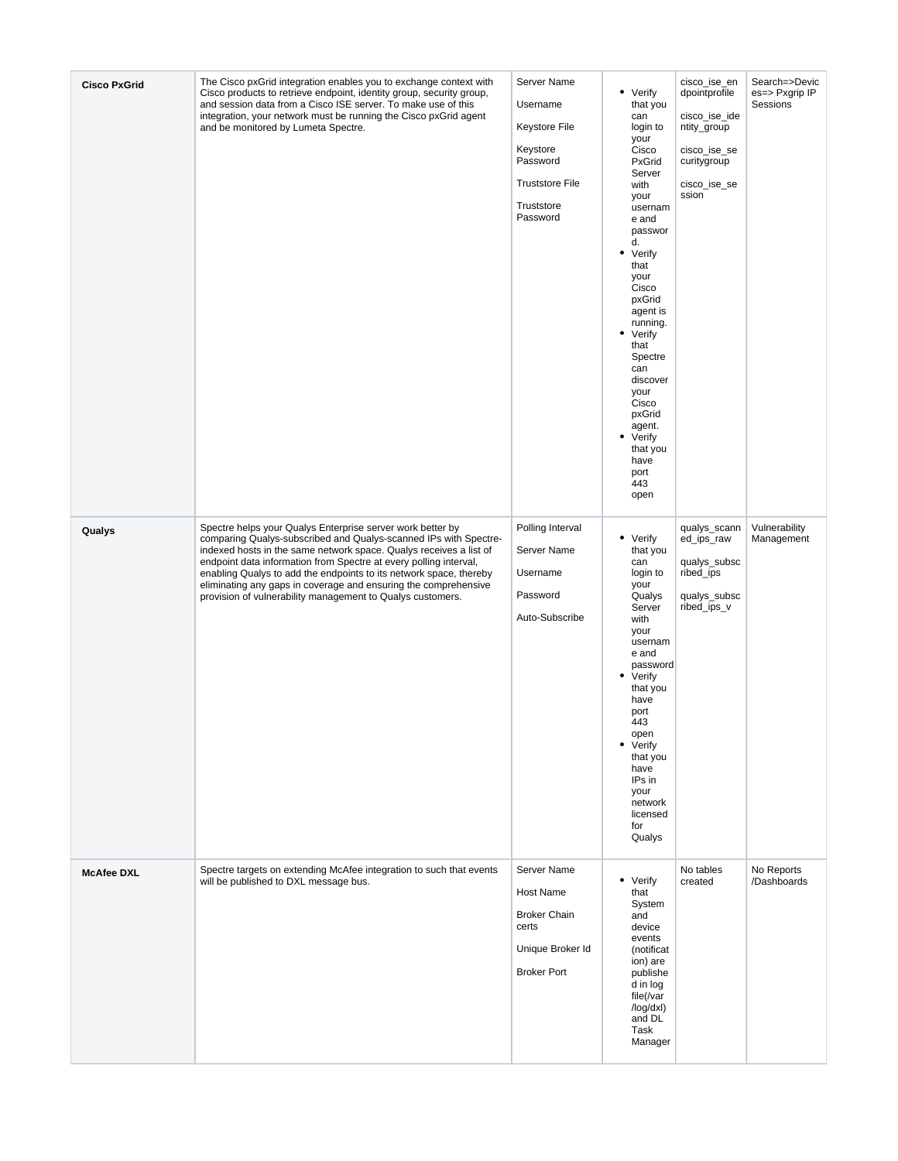| <b>Cisco PxGrid</b> | The Cisco pxGrid integration enables you to exchange context with<br>Cisco products to retrieve endpoint, identity group, security group,<br>and session data from a Cisco ISE server. To make use of this<br>integration, your network must be running the Cisco pxGrid agent<br>and be monitored by Lumeta Spectre.                                                                                                                                                            | Server Name<br>Username<br>Keystore File<br>Keystore<br>Password<br><b>Truststore File</b><br>Truststore<br>Password | • Verify<br>that you<br>can<br>login to<br>your<br>Cisco<br>PxGrid<br>Server<br>with<br>your<br>usernam<br>e and<br>passwor<br>d.<br>• Verify<br>that<br>your<br>Cisco<br>pxGrid<br>agent is<br>running.<br>• Verify<br>that<br>Spectre<br>can<br>discover<br>your<br>Cisco<br>pxGrid<br>agent.<br>• Verify<br>that you<br>have<br>port<br>443<br>open | cisco_ise_en<br>dpointprofile<br>cisco_ise_ide<br>ntity_group<br>cisco_ise_se<br>curitygroup<br>cisco_ise_se<br>ssion | Search=>Devic<br>es=> Pxgrip IP<br>Sessions |
|---------------------|----------------------------------------------------------------------------------------------------------------------------------------------------------------------------------------------------------------------------------------------------------------------------------------------------------------------------------------------------------------------------------------------------------------------------------------------------------------------------------|----------------------------------------------------------------------------------------------------------------------|--------------------------------------------------------------------------------------------------------------------------------------------------------------------------------------------------------------------------------------------------------------------------------------------------------------------------------------------------------|-----------------------------------------------------------------------------------------------------------------------|---------------------------------------------|
| Qualys              | Spectre helps your Qualys Enterprise server work better by<br>comparing Qualys-subscribed and Qualys-scanned IPs with Spectre-<br>indexed hosts in the same network space. Qualys receives a list of<br>endpoint data information from Spectre at every polling interval,<br>enabling Qualys to add the endpoints to its network space, thereby<br>eliminating any gaps in coverage and ensuring the comprehensive<br>provision of vulnerability management to Qualys customers. | Polling Interval<br>Server Name<br>Username<br>Password<br>Auto-Subscribe                                            | • Verify<br>that you<br>can<br>login to<br>your<br>Qualys<br>Server<br>with<br>your<br>usernam<br>e and<br>password<br>• Verify<br>that you<br>have<br>port<br>443<br>open<br>• Verify<br>that you<br>have<br>IPs in<br>your<br>network<br>licensed<br>for<br>Qualys                                                                                   | qualys_scann<br>ed_ips_raw<br>qualys_subsc<br>ribed_ips<br>qualys_subsc<br>ribed_ips_v                                | Vulnerability<br>Management                 |
| <b>McAfee DXL</b>   | Spectre targets on extending McAfee integration to such that events<br>will be published to DXL message bus.                                                                                                                                                                                                                                                                                                                                                                     | Server Name<br>Host Name<br><b>Broker Chain</b><br>certs<br>Unique Broker Id<br><b>Broker Port</b>                   | • Verify<br>that<br>System<br>and<br>device<br>events<br>(notificat<br>ion) are<br>publishe<br>d in log<br>file(/var<br>/log/dxl)<br>and DL<br>Task<br>Manager                                                                                                                                                                                         | No tables<br>created                                                                                                  | No Reports<br>/Dashboards                   |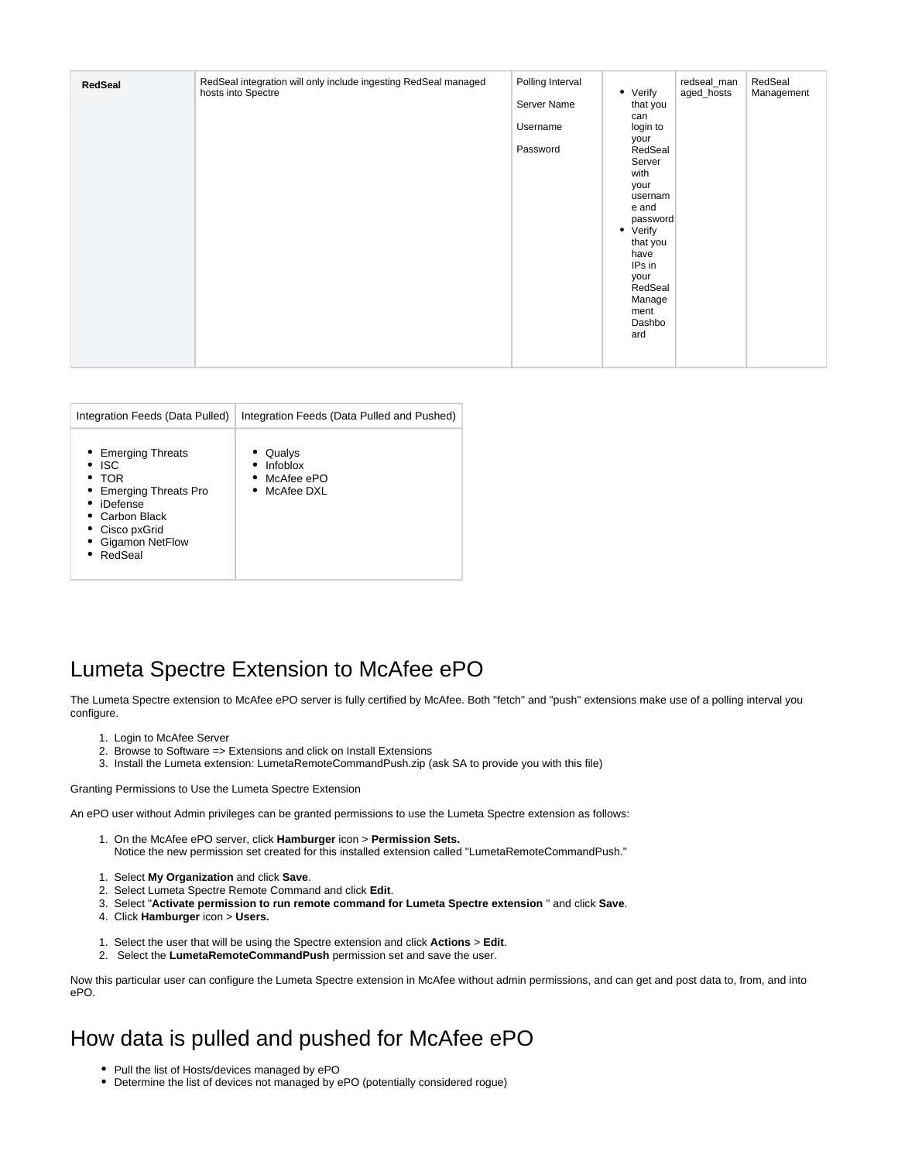| RedSeal integration will only include ingesting RedSeal managed<br>Polling Interval<br>redseal_man<br>RedSeal<br>RedSeal<br>• Verify<br>aged_hosts<br>hosts into Spectre<br>Management<br>Server Name<br>that you<br>can<br>Username<br>login to<br>your<br>Password<br>RedSeal<br>Server<br>with<br>your<br>usernam<br>e and<br>password<br>• Verify<br>that you<br>have<br>IPs in<br>your<br>RedSeal<br>Manage<br>ment<br>Dashbo<br>ard |  |
|-------------------------------------------------------------------------------------------------------------------------------------------------------------------------------------------------------------------------------------------------------------------------------------------------------------------------------------------------------------------------------------------------------------------------------------------|--|
|-------------------------------------------------------------------------------------------------------------------------------------------------------------------------------------------------------------------------------------------------------------------------------------------------------------------------------------------------------------------------------------------------------------------------------------------|--|

| Integration Feeds (Data Pulled)                                                                                                                                        | Integration Feeds (Data Pulled and Pushed)                   |
|------------------------------------------------------------------------------------------------------------------------------------------------------------------------|--------------------------------------------------------------|
| • Emerging Threats<br>$\bullet$ ISC<br>$\bullet$ TOR<br>• Emerging Threats Pro<br>iDefense<br>$\bullet$ Carbon Black<br>• Cisco pxGrid<br>• Gigamon NetFlow<br>RedSeal | • Qualys<br>Infoblox<br>$\bullet$ McAfee ePO<br>• McAfee DXL |

## Lumeta Spectre Extension to McAfee ePO

The Lumeta Spectre extension to McAfee ePO server is fully certified by McAfee. Both "fetch" and "push" extensions make use of a polling interval you configure.

- 1. Login to McAfee Server
- 2. Browse to Software => Extensions and click on Install Extensions
- 3. Install the Lumeta extension: LumetaRemoteCommandPush.zip (ask SA to provide you with this file)

Granting Permissions to Use the Lumeta Spectre Extension

An ePO user without Admin privileges can be granted permissions to use the Lumeta Spectre extension as follows:

- 1. On the McAfee ePO server, click **Hamburger** icon > **Permission Sets.** Notice the new permission set created for this installed extension called "LumetaRemoteCommandPush."
- 1. Select **My Organization** and click **Save**.
- 2. Select Lumeta Spectre Remote Command and click **Edit**.
- 3. Select "**Activate permission to run remote command for Lumeta Spectre extension** " and click **Save**.
- 4. Click **Hamburger** icon > **Users.**
- 1. Select the user that will be using the Spectre extension and click **Actions** > **Edit**.
- 2. Select the **LumetaRemoteCommandPush** permission set and save the user.

Now this particular user can configure the Lumeta Spectre extension in McAfee without admin permissions, and can get and post data to, from, and into ePO.

## How data is pulled and pushed for McAfee ePO

- Pull the list of Hosts/devices managed by ePO
- Determine the list of devices not managed by ePO (potentially considered rogue)